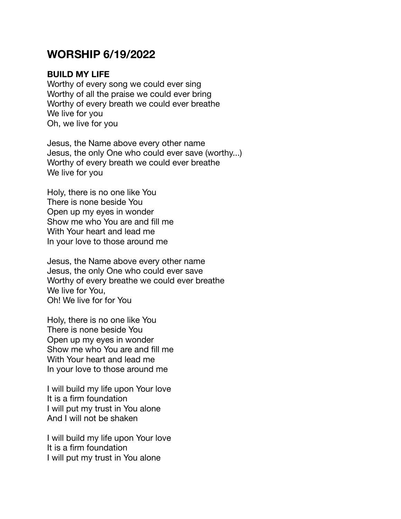# **WORSHIP 6/19/2022**

## **BUILD MY LIFE**

Worthy of every song we could ever sing Worthy of all the praise we could ever bring Worthy of every breath we could ever breathe We live for you Oh, we live for you

Jesus, the Name above every other name Jesus, the only One who could ever save (worthy...) Worthy of every breath we could ever breathe We live for you

Holy, there is no one like You There is none beside You Open up my eyes in wonder Show me who You are and fill me With Your heart and lead me In your love to those around me

Jesus, the Name above every other name Jesus, the only One who could ever save Worthy of every breathe we could ever breathe We live for You. Oh! We live for for You

Holy, there is no one like You There is none beside You Open up my eyes in wonder Show me who You are and fill me With Your heart and lead me In your love to those around me

I will build my life upon Your love It is a firm foundation I will put my trust in You alone And I will not be shaken

I will build my life upon Your love It is a firm foundation I will put my trust in You alone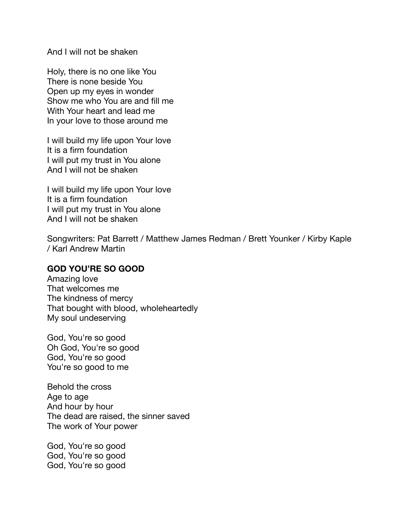And I will not be shaken

Holy, there is no one like You There is none beside You Open up my eyes in wonder Show me who You are and fill me With Your heart and lead me In your love to those around me

I will build my life upon Your love It is a firm foundation I will put my trust in You alone And I will not be shaken

I will build my life upon Your love It is a firm foundation I will put my trust in You alone And I will not be shaken

Songwriters: Pat Barrett / Matthew James Redman / Brett Younker / Kirby Kaple / Karl Andrew Martin

### **GOD YOU'RE SO GOOD**

Amazing love That welcomes me The kindness of mercy That bought with blood, wholeheartedly My soul undeserving

God, You're so good Oh God, You're so good God, You're so good You're so good to me

Behold the cross Age to age And hour by hour The dead are raised, the sinner saved The work of Your power

God, You're so good God, You're so good God, You're so good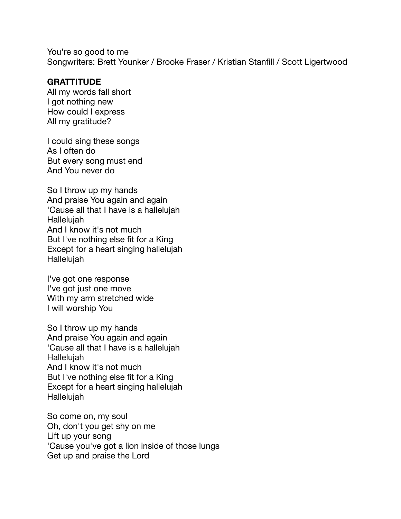You're so good to me Songwriters: Brett Younker / Brooke Fraser / Kristian Stanfill / Scott Ligertwood

#### **GRATTITUDE**

All my words fall short I got nothing new How could I express All my gratitude?

I could sing these songs As I often do But every song must end And You never do

So I throw up my hands And praise You again and again 'Cause all that I have is a hallelujah Hallelujah And I know it's not much But I've nothing else fit for a King Except for a heart singing hallelujah Hallelujah

I've got one response I've got just one move With my arm stretched wide I will worship You

So I throw up my hands And praise You again and again 'Cause all that I have is a hallelujah Hallelujah And I know it's not much But I've nothing else fit for a King Except for a heart singing hallelujah Hallelujah

So come on, my soul Oh, don't you get shy on me Lift up your song 'Cause you've got a lion inside of those lungs Get up and praise the Lord